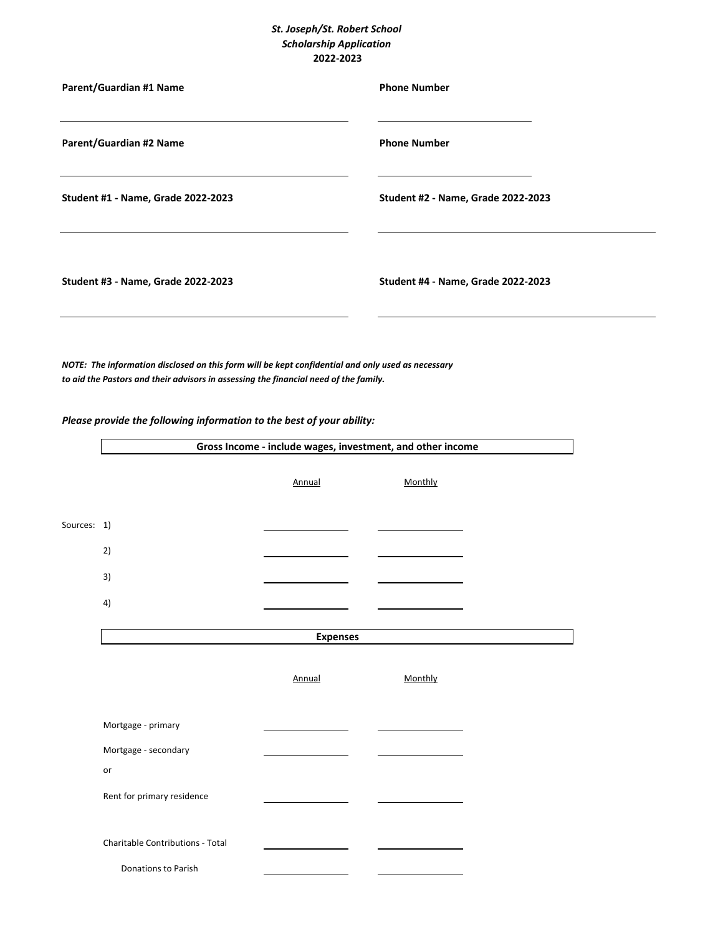## *St. Joseph/St. Robert School Scholarship Application* **2022-2023**

| Parent/Guardian #1 Name            | <b>Phone Number</b>                |
|------------------------------------|------------------------------------|
| Parent/Guardian #2 Name            | <b>Phone Number</b>                |
| Student #1 - Name, Grade 2022-2023 | Student #2 - Name, Grade 2022-2023 |
| Student #3 - Name, Grade 2022-2023 | Student #4 - Name, Grade 2022-2023 |

*NOTE: The information disclosed on this form will be kept confidential and only used as necessary to aid the Pastors and their advisors in assessing the financial need of the family.*

## *Please provide the following information to the best of your ability:*

 $\mathsf{r}$ 

|             | Gross Income - include wages, investment, and other income |                 |         |  |
|-------------|------------------------------------------------------------|-----------------|---------|--|
|             |                                                            | Annual          | Monthly |  |
| Sources: 1) |                                                            |                 |         |  |
|             | 2)                                                         |                 |         |  |
|             | 3)                                                         |                 |         |  |
|             | 4)                                                         |                 |         |  |
|             |                                                            | <b>Expenses</b> |         |  |
|             |                                                            | Annual          | Monthly |  |
|             | Mortgage - primary                                         |                 |         |  |
|             | Mortgage - secondary                                       |                 |         |  |
|             | or                                                         |                 |         |  |
|             | Rent for primary residence                                 |                 |         |  |
|             | Charitable Contributions - Total                           |                 |         |  |
|             | Donations to Parish                                        |                 |         |  |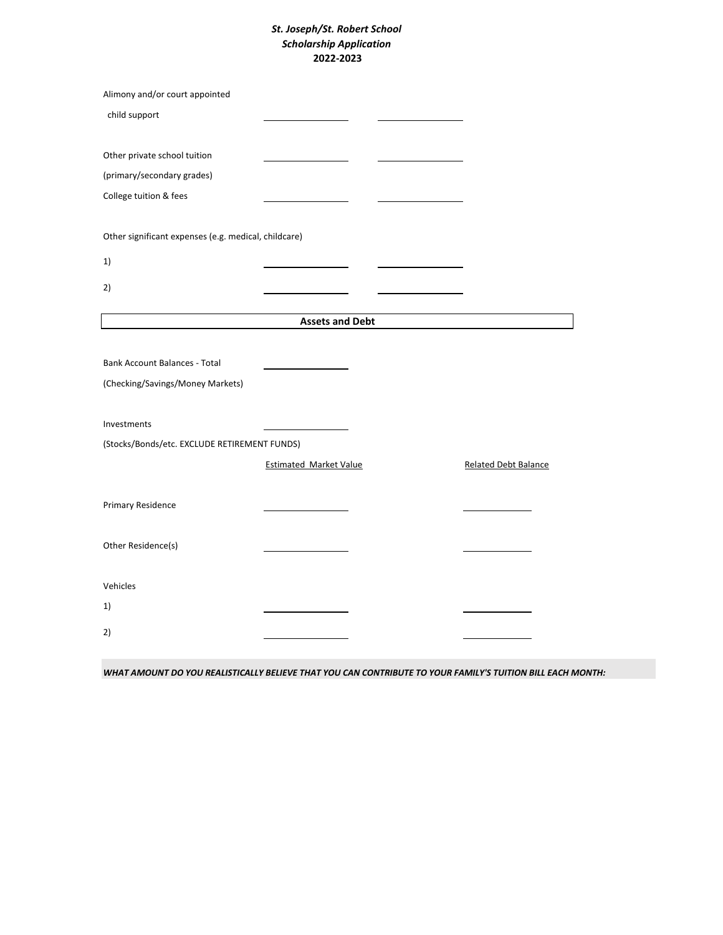## *St. Joseph/St. Robert School Scholarship Application* **2022-2023**

| Alimony and/or court appointed                       |                               |                             |
|------------------------------------------------------|-------------------------------|-----------------------------|
| child support                                        |                               |                             |
|                                                      |                               |                             |
| Other private school tuition                         |                               |                             |
| (primary/secondary grades)                           |                               |                             |
| College tuition & fees                               |                               |                             |
| Other significant expenses (e.g. medical, childcare) |                               |                             |
| 1)                                                   |                               |                             |
| 2)                                                   |                               |                             |
|                                                      | <b>Assets and Debt</b>        |                             |
|                                                      |                               |                             |
| <b>Bank Account Balances - Total</b>                 |                               |                             |
| (Checking/Savings/Money Markets)                     |                               |                             |
|                                                      |                               |                             |
| Investments                                          |                               |                             |
| (Stocks/Bonds/etc. EXCLUDE RETIREMENT FUNDS)         |                               |                             |
|                                                      | <b>Estimated Market Value</b> | <b>Related Debt Balance</b> |
| Primary Residence                                    |                               |                             |
| Other Residence(s)                                   |                               |                             |
| Vehicles                                             |                               |                             |
| 1)                                                   |                               |                             |
| 2)                                                   |                               |                             |

*WHAT AMOUNT DO YOU REALISTICALLY BELIEVE THAT YOU CAN CONTRIBUTE TO YOUR FAMILY'S TUITION BILL EACH MONTH:*